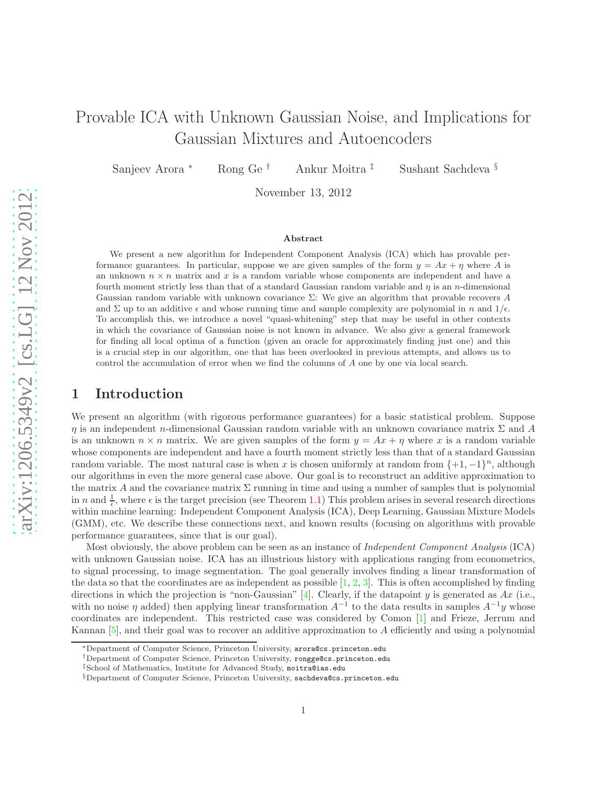# Provable ICA with Unknown Gaussian Noise, and Implications for Gaussian Mixtures and Autoencoders

Sanjeev Arora <sup>∗</sup> Rong Ge † Ankur Moitra ‡ Sushant Sachdeva §

November 13, 2012

#### Abstract

We present a new algorithm for Independent Component Analysis (ICA) which has provable performance guarantees. In particular, suppose we are given samples of the form  $y = Ax + \eta$  where A is an unknown  $n \times n$  matrix and x is a random variable whose components are independent and have a fourth moment strictly less than that of a standard Gaussian random variable and  $\eta$  is an n-dimensional Gaussian random variable with unknown covariance  $\Sigma$ : We give an algorithm that provable recovers A and  $\Sigma$  up to an additive  $\epsilon$  and whose running time and sample complexity are polynomial in n and  $1/\epsilon$ . To accomplish this, we introduce a novel "quasi-whitening" step that may be useful in other contexts in which the covariance of Gaussian noise is not known in advance. We also give a general framework for finding all local optima of a function (given an oracle for approximately finding just one) and this is a crucial step in our algorithm, one that has been overlooked in previous attempts, and allows us to control the accumulation of error when we find the columns of A one by one via local search.

### <span id="page-0-0"></span>1 Introduction

We present an algorithm (with rigorous performance guarantees) for a basic statistical problem. Suppose η is an independent n-dimensional Gaussian random variable with an unknown covariance matrix Σ and A is an unknown  $n \times n$  matrix. We are given samples of the form  $y = Ax + \eta$  where x is a random variable whose components are independent and have a fourth moment strictly less than that of a standard Gaussian random variable. The most natural case is when x is chosen uniformly at random from  $\{+1, -1\}^n$ , although our algorithms in even the more general case above. Our goal is to reconstruct an additive approximation to the matrix A and the covariance matrix  $\Sigma$  running in time and using a number of samples that is polynomial in n and  $\frac{1}{\epsilon}$ , where  $\epsilon$  is the target precision (see Theorem [1.1\)](#page-1-0) This problem arises in several research directions within machine learning: Independent Component Analysis (ICA), Deep Learning, Gaussian Mixture Models (GMM), etc. We describe these connections next, and known results (focusing on algorithms with provable performance guarantees, since that is our goal).

Most obviously, the above problem can be seen as an instance of *Independent Component Analysis* (ICA) with unknown Gaussian noise. ICA has an illustrious history with applications ranging from econometrics, to signal processing, to image segmentation. The goal generally involves finding a linear transformation of the data so that the coordinates are as independent as possible  $[1, 2, 3]$  $[1, 2, 3]$  $[1, 2, 3]$  $[1, 2, 3]$ . This is often accomplished by finding directions in which the projection is "non-Gaussian" [\[4\]](#page-12-3). Clearly, if the datapoint y is generated as  $Ax$  (i.e., with no noise  $\eta$  added) then applying linear transformation  $A^{-1}$  to the data results in samples  $A^{-1}y$  whose coordinates are independent. This restricted case was considered by Comon [\[1\]](#page-12-0) and Frieze, Jerrum and Kannan [\[5\]](#page-12-4), and their goal was to recover an additive approximation to A efficiently and using a polynomial

<sup>∗</sup>Department of Computer Science, Princeton University, arora@cs.princeton.edu

<sup>†</sup>Department of Computer Science, Princeton University, rongge@cs.princeton.edu

<sup>‡</sup>School of Mathematics, Institute for Advanced Study, moitra@ias.edu

<sup>§</sup>Department of Computer Science, Princeton University, sachdeva@cs.princeton.edu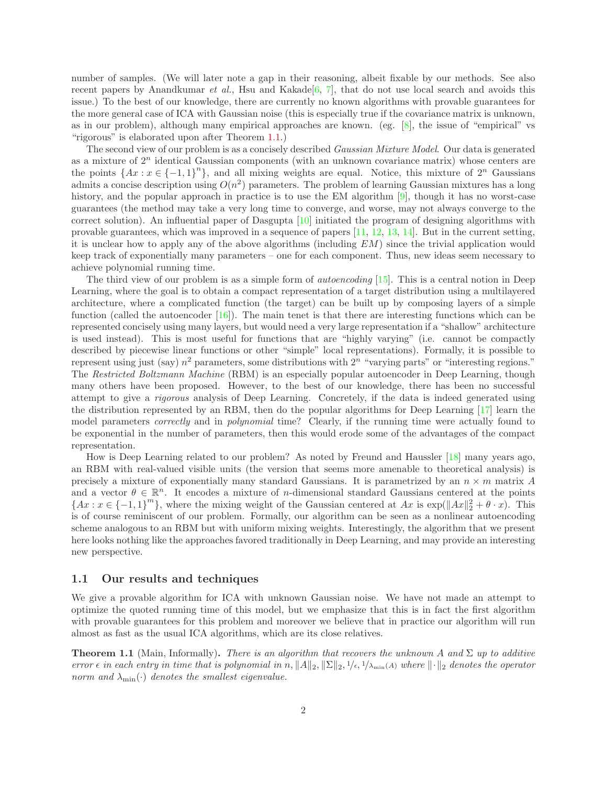number of samples. (We will later note a gap in their reasoning, albeit fixable by our methods. See also recent papers by Anandkumar *et al.*, Hsu and Kakade<sup>[\[6,](#page-12-5) [7\]](#page-12-6)</sup>, that do not use local search and avoids this issue.) To the best of our knowledge, there are currently no known algorithms with provable guarantees for the more general case of ICA with Gaussian noise (this is especially true if the covariance matrix is unknown, as in our problem), although many empirical approaches are known. (eg. [\[8\]](#page-12-7), the issue of "empirical" vs "rigorous" is elaborated upon after Theorem [1.1.](#page-1-0))

The second view of our problem is as a concisely described *Gaussian Mixture Model*. Our data is generated as a mixture of  $2^n$  identical Gaussian components (with an unknown covariance matrix) whose centers are the points  $\{Ax : x \in \{-1,1\}^n\}$ , and all mixing weights are equal. Notice, this mixture of  $2^n$  Gaussians admits a concise description using  $O(n^2)$  parameters. The problem of learning Gaussian mixtures has a long history, and the popular approach in practice is to use the EM algorithm [\[9\]](#page-12-8), though it has no worst-case guarantees (the method may take a very long time to converge, and worse, may not always converge to the correct solution). An influential paper of Dasgupta [\[10\]](#page-12-9) initiated the program of designing algorithms with provable guarantees, which was improved in a sequence of papers [\[11,](#page-12-10) [12,](#page-12-11) [13,](#page-12-12) [14\]](#page-13-0). But in the current setting, it is unclear how to apply any of the above algorithms (including  $EM$ ) since the trivial application would keep track of exponentially many parameters – one for each component. Thus, new ideas seem necessary to achieve polynomial running time.

The third view of our problem is as a simple form of *autoencoding* [\[15\]](#page-13-1). This is a central notion in Deep Learning, where the goal is to obtain a compact representation of a target distribution using a multilayered architecture, where a complicated function (the target) can be built up by composing layers of a simple function (called the autoencoder  $[16]$ ). The main tenet is that there are interesting functions which can be represented concisely using many layers, but would need a very large representation if a "shallow" architecture is used instead). This is most useful for functions that are "highly varying" (i.e. cannot be compactly described by piecewise linear functions or other "simple" local representations). Formally, it is possible to represent using just (say)  $n^2$  parameters, some distributions with  $2^n$  "varying parts" or "interesting regions." The *Restricted Boltzmann Machine* (RBM) is an especially popular autoencoder in Deep Learning, though many others have been proposed. However, to the best of our knowledge, there has been no successful attempt to give a *rigorous* analysis of Deep Learning. Concretely, if the data is indeed generated using the distribution represented by an RBM, then do the popular algorithms for Deep Learning [\[17\]](#page-13-3) learn the model parameters *correctly* and in *polynomial* time? Clearly, if the running time were actually found to be exponential in the number of parameters, then this would erode some of the advantages of the compact representation.

How is Deep Learning related to our problem? As noted by Freund and Haussler [\[18\]](#page-13-4) many years ago, an RBM with real-valued visible units (the version that seems more amenable to theoretical analysis) is precisely a mixture of exponentially many standard Gaussians. It is parametrized by an  $n \times m$  matrix A and a vector  $\theta \in \mathbb{R}^n$ . It encodes a mixture of *n*-dimensional standard Gaussians centered at the points  ${Ax : x \in {-1,1}^m}$ , where the mixing weight of the Gaussian centered at  $Ax$  is  $\exp(||Ax||_2^2 + \theta \cdot x)$ . This is of course reminiscent of our problem. Formally, our algorithm can be seen as a nonlinear autoencoding scheme analogous to an RBM but with uniform mixing weights. Interestingly, the algorithm that we present here looks nothing like the approaches favored traditionally in Deep Learning, and may provide an interesting new perspective.

#### 1.1 Our results and techniques

We give a provable algorithm for ICA with unknown Gaussian noise. We have not made an attempt to optimize the quoted running time of this model, but we emphasize that this is in fact the first algorithm with provable guarantees for this problem and moreover we believe that in practice our algorithm will run almost as fast as the usual ICA algorithms, which are its close relatives.

<span id="page-1-0"></span>**Theorem 1.1** (Main, Informally). *There is an algorithm that recovers the unknown* A and  $\Sigma$  *up to additive error*  $\epsilon$  *in each entry in time that is polynomial in* n,  $||A||_2$ ,  $||\Sigma||_2$ ,  $1/\epsilon$ ,  $1/\lambda_{\min}(A)$  *where*  $||\cdot||_2$  *denotes the operator norm and*  $\lambda_{\min}(\cdot)$  *denotes the smallest eigenvalue.*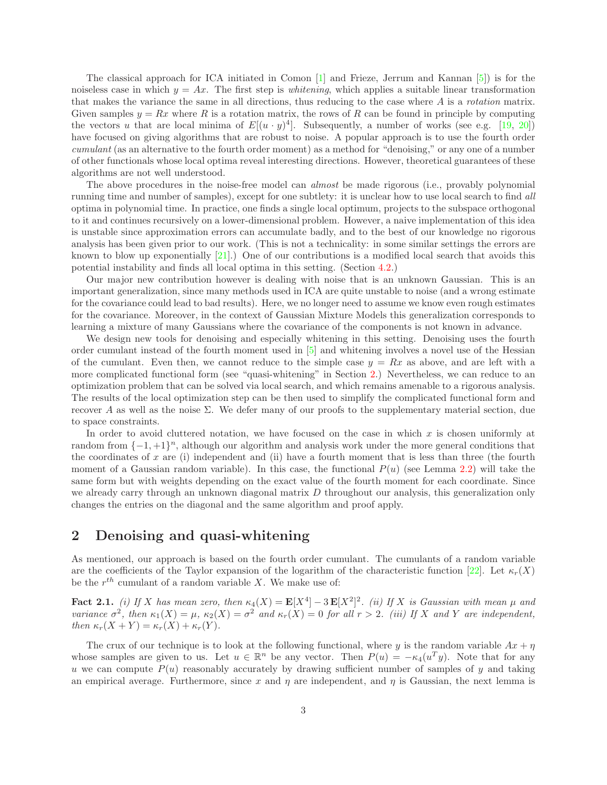The classical approach for ICA initiated in Comon [\[1\]](#page-12-0) and Frieze, Jerrum and Kannan [\[5\]](#page-12-4)) is for the noiseless case in which  $y = Ax$ . The first step is *whitening*, which applies a suitable linear transformation that makes the variance the same in all directions, thus reducing to the case where A is a *rotation* matrix. Given samples  $y = Rx$  where R is a rotation matrix, the rows of R can be found in principle by computing the vectors u that are local minima of  $E[(u \cdot y)^4]$ . Subsequently, a number of works (see e.g. [\[19,](#page-13-5) [20\]](#page-13-6)) have focused on giving algorithms that are robust to noise. A popular approach is to use the fourth order *cumulant* (as an alternative to the fourth order moment) as a method for "denoising," or any one of a number of other functionals whose local optima reveal interesting directions. However, theoretical guarantees of these algorithms are not well understood.

The above procedures in the noise-free model can *almost* be made rigorous (i.e., provably polynomial running time and number of samples), except for one subtlety: it is unclear how to use local search to find *all* optima in polynomial time. In practice, one finds a single local optimum, projects to the subspace orthogonal to it and continues recursively on a lower-dimensional problem. However, a naive implementation of this idea is unstable since approximation errors can accumulate badly, and to the best of our knowledge no rigorous analysis has been given prior to our work. (This is not a technicality: in some similar settings the errors are known to blow up exponentially  $[21]$ .) One of our contributions is a modified local search that avoids this potential instability and finds all local optima in this setting. (Section [4.2.](#page-7-0))

Our major new contribution however is dealing with noise that is an unknown Gaussian. This is an important generalization, since many methods used in ICA are quite unstable to noise (and a wrong estimate for the covariance could lead to bad results). Here, we no longer need to assume we know even rough estimates for the covariance. Moreover, in the context of Gaussian Mixture Models this generalization corresponds to learning a mixture of many Gaussians where the covariance of the components is not known in advance.

We design new tools for denoising and especially whitening in this setting. Denoising uses the fourth order cumulant instead of the fourth moment used in [\[5\]](#page-12-4) and whitening involves a novel use of the Hessian of the cumulant. Even then, we cannot reduce to the simple case  $y = Rx$  as above, and are left with a more complicated functional form (see "quasi-whitening" in Section [2.](#page-2-0)) Nevertheless, we can reduce to an optimization problem that can be solved via local search, and which remains amenable to a rigorous analysis. The results of the local optimization step can be then used to simplify the complicated functional form and recover A as well as the noise Σ. We defer many of our proofs to the supplementary material section, due to space constraints.

In order to avoid cluttered notation, we have focused on the case in which x is chosen uniformly at random from  $\{-1, +1\}^n$ , although our algorithm and analysis work under the more general conditions that the coordinates of x are (i) independent and (ii) have a fourth moment that is less than three (the fourth moment of a Gaussian random variable). In this case, the functional  $P(u)$  (see Lemma [2.2\)](#page-3-0) will take the same form but with weights depending on the exact value of the fourth moment for each coordinate. Since we already carry through an unknown diagonal matrix D throughout our analysis, this generalization only changes the entries on the diagonal and the same algorithm and proof apply.

# <span id="page-2-0"></span>2 Denoising and quasi-whitening

As mentioned, our approach is based on the fourth order cumulant. The cumulants of a random variable are the coefficients of the Taylor expansion of the logarithm of the characteristic function [\[22\]](#page-13-8). Let  $\kappa_r(X)$ be the  $r^{th}$  cumulant of a random variable X. We make use of:

Fact 2.1. *(i)* If X has mean zero, then  $\kappa_4(X) = \mathbf{E}[X^4] - 3\mathbf{E}[X^2]^2$ . *(ii)* If X is Gaussian with mean  $\mu$  and *variance*  $\sigma^2$ , then  $\kappa_1(X) = \mu$ ,  $\kappa_2(X) = \sigma^2$  and  $\kappa_r(X) = 0$  for all  $r > 2$ . (iii) If X and Y are independent, *then*  $\kappa_r(X + Y) = \kappa_r(X) + \kappa_r(Y)$ *.* 

The crux of our technique is to look at the following functional, where y is the random variable  $Ax + \eta$ whose samples are given to us. Let  $u \in \mathbb{R}^n$  be any vector. Then  $P(u) = -\kappa_4(u^T y)$ . Note that for any u we can compute  $P(u)$  reasonably accurately by drawing sufficient number of samples of y and taking an empirical average. Furthermore, since x and  $\eta$  are independent, and  $\eta$  is Gaussian, the next lemma is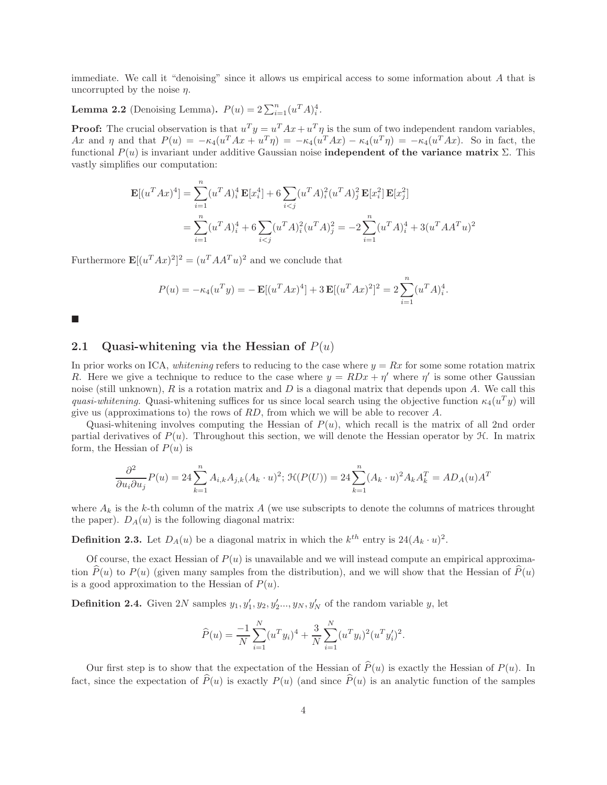immediate. We call it "denoising" since it allows us empirical access to some information about A that is uncorrupted by the noise  $\eta$ .

# <span id="page-3-0"></span>**Lemma 2.2** (Denoising Lemma).  $P(u) = 2 \sum_{i=1}^{n} (u^T A)^4_i$ .

**Proof:** The crucial observation is that  $u^T y = u^T A x + u^T \eta$  is the sum of two independent random variables, Ax and  $\eta$  and that  $P(u) = -\kappa_4(u^T A x + u^T \eta) = -\kappa_4(u^T A x) - \kappa_4(u^T \eta) = -\kappa_4(u^T A x)$ . So in fact, the functional P(u) is invariant under additive Gaussian noise independent of the variance matrix Σ. This vastly simplifies our computation:

$$
\mathbf{E}[(u^T A x)^4] = \sum_{i=1}^n (u^T A)_i^4 \mathbf{E}[x_i^4] + 6 \sum_{i < j} (u^T A)_i^2 (u^T A)_j^2 \mathbf{E}[x_i^2] \mathbf{E}[x_j^2]
$$
\n
$$
= \sum_{i=1}^n (u^T A)_i^4 + 6 \sum_{i < j} (u^T A)_i^2 (u^T A)_j^2 = -2 \sum_{i=1}^n (u^T A)_i^4 + 3(u^T A A^T u)^2
$$

Furthermore  $\mathbf{E}[(u^T Ax)^2]^2 = (u^T AA^T u)^2$  and we conclude that

$$
P(u) = -\kappa_4(u^T y) = -\mathbf{E}[(u^T A x)^4] + 3\mathbf{E}[(u^T A x)^2]^2 = 2\sum_{i=1}^n (u^T A)_i^4.
$$

 $\blacksquare$ 

### 2.1 Quasi-whitening via the Hessian of  $P(u)$

In prior works on ICA, *whitening* refers to reducing to the case where  $y = Rx$  for some some rotation matrix R. Here we give a technique to reduce to the case where  $y = RDx + \eta'$  where  $\eta'$  is some other Gaussian noise (still unknown), R is a rotation matrix and D is a diagonal matrix that depends upon A. We call this *quasi-whitening.* Quasi-whitening suffices for us since local search using the objective function  $\kappa_4(u^T y)$  will give us (approximations to) the rows of  $RD$ , from which we will be able to recover A.

Quasi-whitening involves computing the Hessian of  $P(u)$ , which recall is the matrix of all 2nd order partial derivatives of  $P(u)$ . Throughout this section, we will denote the Hessian operator by  $\mathcal{H}$ . In matrix form, the Hessian of  $P(u)$  is

$$
\frac{\partial^2}{\partial u_i \partial u_j} P(u) = 24 \sum_{k=1}^n A_{i,k} A_{j,k} (A_k \cdot u)^2; \, \mathcal{H}(P(U)) = 24 \sum_{k=1}^n (A_k \cdot u)^2 A_k A_k^T = AD_A(u) A^T
$$

where  $A_k$  is the k-th column of the matrix A (we use subscripts to denote the columns of matrices throught the paper).  $D_A(u)$  is the following diagonal matrix:

<span id="page-3-1"></span>**Definition 2.3.** Let  $D_A(u)$  be a diagonal matrix in which the  $k^{th}$  entry is  $24(A_k \cdot u)^2$ .

Of course, the exact Hessian of  $P(u)$  is unavailable and we will instead compute an empirical approximation  $\widehat{P}(u)$  to  $P(u)$  (given many samples from the distribution), and we will show that the Hessian of  $\widehat{P}(u)$ is a good approximation to the Hessian of  $P(u)$ .

**Definition 2.4.** Given 2N samples  $y_1, y'_1, y_2, y'_2, ..., y_N, y'_N$  of the random variable y, let

$$
\widehat{P}(u) = \frac{-1}{N} \sum_{i=1}^{N} (u^T y_i)^4 + \frac{3}{N} \sum_{i=1}^{N} (u^T y_i)^2 (u^T y_i')^2.
$$

Our first step is to show that the expectation of the Hessian of  $\hat{P}(u)$  is exactly the Hessian of  $P(u)$ . In fact, since the expectation of  $\widehat{P}(u)$  is exactly  $P(u)$  (and since  $\widehat{P}(u)$  is an analytic function of the samples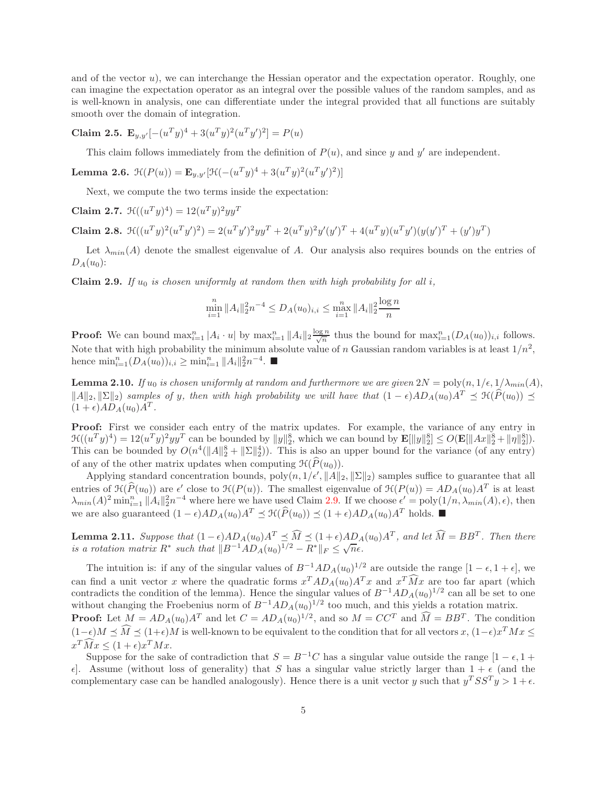and of the vector  $u$ ), we can interchange the Hessian operator and the expectation operator. Roughly, one can imagine the expectation operator as an integral over the possible values of the random samples, and as is well-known in analysis, one can differentiate under the integral provided that all functions are suitably smooth over the domain of integration.

# Claim 2.5.  $\mathbf{E}_{y,y'}[-(u^T y)^4 + 3(u^T y)^2(u^T y')^2] = P(u)$

This claim follows immediately from the definition of  $P(u)$ , and since y and y' are independent.

Lemma 2.6.  $\mathcal{H}(P(u)) = \mathbf{E}_{y,y'}[\mathcal{H}(-(u^T y)^4 + 3(u^T y)^2(u^T y')^2)]$ 

Next, we compute the two terms inside the expectation:

Claim 2.7.  $\mathcal{H}((u^T y)^4) = 12(u^T y)^2 y y^T$ 

Claim 2.8.  $\mathcal{H}((u^T y)^2 (u^T y')^2) = 2(u^T y')^2 y y^T + 2(u^T y)^2 y'(y')^T + 4(u^T y)(u^T y') (y(y')^T + (y')y^T)$ 

Let  $\lambda_{min}(A)$  denote the smallest eigenvalue of A. Our analysis also requires bounds on the entries of  $D_A(u_0)$ :

<span id="page-4-0"></span>**Claim 2.9.** *If*  $u_0$  *is chosen uniformly at random then with high probability for all i,* 

$$
\min_{i=1}^{n} \|A_i\|_2^2 n^{-4} \le D_A(u_0)_{i,i} \le \max_{i=1}^{n} \|A_i\|_2^2 \frac{\log n}{n}
$$

**Proof:** We can bound  $\max_{i=1}^n |A_i \cdot u|$  by  $\max_{i=1}^n ||A_i||_2 \frac{\log n}{\sqrt{n}}$  thus the bound for  $\max_{i=1}^n (D_A(u_0))_{i,i}$  follows. Note that with high probability the minimum absolute value of n Gaussian random variables is at least  $1/n^2$ , hence  $\min_{i=1}^{n} (D_A(u_0))_{i,i} \geq \min_{i=1}^{n} ||A_i||_2^2 n^{-4}$ .

**Lemma 2.10.** *If*  $u_0$  *is chosen uniformly at random and furthermore we are given*  $2N = \text{poly}(n, 1/\epsilon, 1/\lambda_{min}(A))$ ,  $||A||_2, ||\Sigma||_2$ ) samples of y, then with high probability we will have that  $(1 - \epsilon)AD_A(u_0)A^T \preceq \mathcal{H}(\widehat{P}(u_0))$   $\preceq$  $(1+\epsilon)AD_A(u_0)A^T$ .

Proof: First we consider each entry of the matrix updates. For example, the variance of any entry in  $\mathcal{H}((u^T y)^4) = 12(u^T y)^2 y y^T$  can be bounded by  $||y||_2^8$ , which we can bound by  $\mathbf{E}[||y||_2^8] \le O(\mathbf{E}[||Ax||_2^8 + ||\eta||_2^8]).$ This can be bounded by  $O(n^4(||A||_2^8 + ||\Sigma||_2^4))$ . This is also an upper bound for the variance (of any entry) of any of the other matrix updates when computing  $\mathcal{H}(\widehat{P}(u_0)).$ 

Applying standard concentration bounds,  $poly(n, 1/\epsilon', ||A||_2, ||\Sigma||_2)$  samples suffice to guarantee that all entries of  $\mathcal{H}(\widehat{P}(u_0))$  are  $\epsilon'$  close to  $\mathcal{H}(P(u))$ . The smallest eigenvalue of  $\mathcal{H}(P(u)) = AD_A(u_0)A^T$  is at least  $\lambda_{min}(A)^2 \min_{i=1}^n \|A_i\|_2^2 n^{-4}$  where here we have used Claim [2.9.](#page-4-0) If we choose  $\epsilon' = \text{poly}(1/n, \lambda_{min}(A), \epsilon)$ , then we are also guaranteed  $(1 - \epsilon)AD_A(u_0)A^T \preceq \mathcal{H}(\widehat{P}(u_0)) \preceq (1 + \epsilon)AD_A(u_0)A^T$  holds. ■

<span id="page-4-1"></span>**Lemma 2.11.** Suppose that  $(1 - \epsilon)AD_A(u_0)A^T \preceq \widehat{M} \preceq (1 + \epsilon)AD_A(u_0)A^T$ , and let  $\widehat{M} = BB^T$ . Then there *is a rotation matrix*  $R^*$  such that  $||B^{-1}AD_A(u_0)^{1/2} - R^*||_F \leq \sqrt{n\epsilon}$ .

The intuition is: if any of the singular values of  $B^{-1}AD_A(u_0)^{1/2}$  are outside the range  $[1-\epsilon, 1+\epsilon]$ , we can find a unit vector x where the quadratic forms  $x^T A D_A(u_0) A^T x$  and  $x^T M x$  are too far apart (which contradicts the condition of the lemma). Hence the singular values of  $B^{-1}AD_A(u_0)^{1/2}$  can all be set to one without changing the Froebenius norm of  $B^{-1}AD_A(u_0)^{1/2}$  too much, and this yields a rotation matrix. **Proof:** Let  $M = AD_A(u_0)A^T$  and let  $C = AD_A(u_0)^{1/2}$ , and so  $M = CC^T$  and  $M = BB^T$ . The condition

 $(1-\epsilon)M \preceq \tilde{M} \preceq (1+\epsilon)M$  is well-known to be equivalent to the condition that for all vectors  $x, (1-\epsilon)x^T M x \leq$  $x^T \tilde{M} x \le (1 + \epsilon) x^T M x.$ 

Suppose for the sake of contradiction that  $S = B^{-1}C$  has a singular value outside the range  $[1 - \epsilon, 1 + \epsilon]$  $\epsilon$ . Assume (without loss of generality) that S has a singular value strictly larger than  $1 + \epsilon$  (and the complementary case can be handled analogously). Hence there is a unit vector y such that  $y^T S S^T y > 1 + \epsilon$ .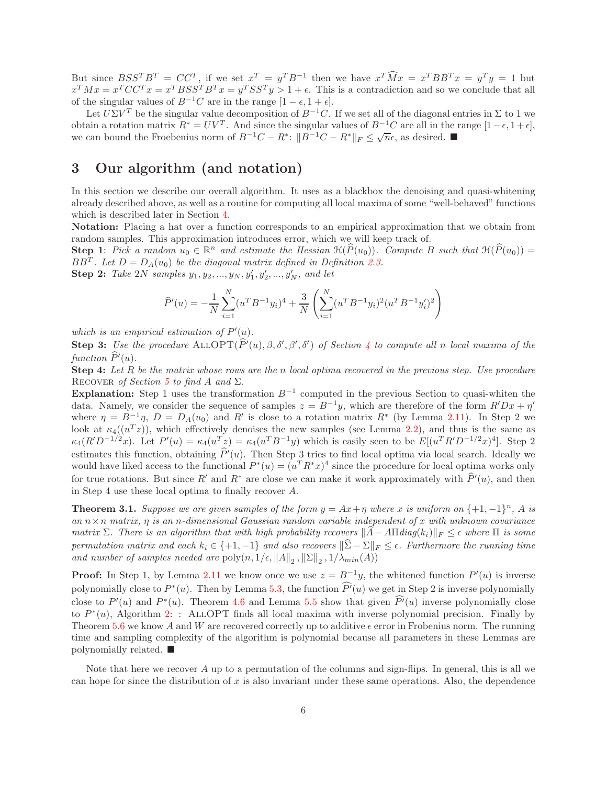But since  $BSS^TB^T = CC^T$ , if we set  $x^T = y^TB^{-1}$  then we have  $x^T\widehat{M}x = x^TBB^Tx = y^Ty = 1$  but  $x^T M x = x^T C C^T x = x^T B S S^T B^T x = y^T S S^T y > 1 + \epsilon$ . This is a contradiction and so we conclude that all of the singular values of  $B^{-1}C$  are in the range  $[1 - \epsilon, 1 + \epsilon]$ .

Let  $U\Sigma V^T$  be the singular value decomposition of  $B^{-1}C$ . If we set all of the diagonal entries in  $\Sigma$  to 1 we obtain a rotation matrix  $R^* = UV^T$ . And since the singular values of  $B^{-1}C$  are all in the range  $[1-\epsilon, 1+\epsilon]$ , we can bound the Froebenius norm of  $B^{-1}C - R^*$ :  $||B^{-1}C - R^*||_F \le \sqrt{n}\epsilon$ , as desired.

# 3 Our algorithm (and notation)

In this section we describe our overall algorithm. It uses as a blackbox the denoising and quasi-whitening already described above, as well as a routine for computing all local maxima of some "well-behaved" functions which is described later in Section [4.](#page-6-0)

Notation: Placing a hat over a function corresponds to an empirical approximation that we obtain from random samples. This approximation introduces error, which we will keep track of.

**Step 1**: *Pick a random*  $u_0 \in \mathbb{R}^n$  *and estimate the Hessian*  $\mathcal{H}(\widehat{P}(u_0))$ *. Compute* B *such that*  $\mathcal{H}(\widehat{P}(u_0))$  =  $BB<sup>T</sup>$ *. Let*  $D = D<sub>A</sub>(u<sub>0</sub>)$  *be the diagonal matrix defined in Definition [2.3.](#page-3-1)* 

**Step 2:** Take 2N samples  $y_1, y_2, ..., y_N, y'_1, y'_2, ..., y'_N$ , and let

$$
\widehat{P}'(u) = -\frac{1}{N} \sum_{i=1}^{N} (u^T B^{-1} y_i)^4 + \frac{3}{N} \left( \sum_{i=1}^{N} (u^T B^{-1} y_i)^2 (u^T B^{-1} y_i')^2 \right)
$$

which is an empirical estimation of  $P'(u)$ .

**Step 3:** Use the procedure  $\text{ALLOPT}(P'(u), \beta, \delta', \beta', \delta')$  of Section [4](#page-6-0) to compute all n local maxima of the  $function P'(u)$ .

Step 4: *Let* R *be the matrix whose rows are the* n *local optima recovered in the previous step. Use procedure* RECOVER *of Section* [5](#page-9-0) *to find* A *and*  $\Sigma$ .

Explanation: Step 1 uses the transformation  $B^{-1}$  computed in the previous Section to quasi-whiten the data. Namely, we consider the sequence of samples  $z = B^{-1}y$ , which are therefore of the form  $R'Dx + \eta'$ where  $\eta = B^{-1}\eta$ ,  $D = D_A(u_0)$  and R' is close to a rotation matrix R<sup>\*</sup> (by Lemma [2.11\)](#page-4-1). In Step 2 we look at  $\kappa_4((u^Tz))$ , which effectively denoises the new samples (see Lemma [2.2\)](#page-3-0), and thus is the same as  $\kappa_4(R'D^{-1/2}x)$ . Let  $P'(u) = \kappa_4(u^Tz) = \kappa_4(u^TB^{-1}y)$  which is easily seen to be  $E[(u^TR'D^{-1/2}x)^4]$ . Step 2 estimates this function, obtaining  $P'(u)$ . Then Step 3 tries to find local optima via local search. Ideally we would have liked access to the functional  $P^*(u) = (u^T R^* x)^4$  since the procedure for local optima works only for true rotations. But since R' and R<sup>\*</sup> are close we can make it work approximately with  $P'(u)$ , and then in Step 4 use these local optima to finally recover A.

**Theorem 3.1.** *Suppose we are given samples of the form*  $y = Ax + \eta$  *where* x *is uniform on*  $\{+1, -1\}^n$ , A *is an* n×n *matrix,* η *is an* n*-dimensional Gaussian random variable independent of* x *with unknown covariance matrix*  $\Sigma$ *. There is an algorithm that with high probability recovers*  $||A - A\Pi diag(k_i)||_F \leq \epsilon$  *where*  $\Pi$  *is some permutation matrix and each*  $k_i \in \{+1, -1\}$  *and also recovers*  $\|\hat{\Sigma} - \Sigma\|_F \leq \epsilon$ . Furthermore the running time *and number of samples needed are*  $\text{poly}(n, 1/\epsilon, ||A||_2, ||\Sigma||_2, 1/\lambda_{min}(A))$ 

**Proof:** In Step 1, by Lemma [2.11](#page-4-1) we know once we use  $z = B^{-1}y$ , the whitened function  $P'(u)$  is inverse polynomially close to  $P^*(u)$ . Then by Lemma [5.3,](#page-10-0) the function  $P'(u)$  we get in Step 2 is inverse polynomially close to  $P'(u)$  and  $P^*(u)$ . Theorem [4.6](#page-7-1) and Lemma [5.5](#page-11-0) show that given  $P'(u)$  inverse polynomially close to  $P^*(u)$ , Algorithm [2:](#page-7-2) : ALLOPT finds all local maxima with inverse polynomial precision. Finally by Theorem [5.6](#page-11-1) we know A and W are recovered correctly up to additive  $\epsilon$  error in Frobenius norm. The running time and sampling complexity of the algorithm is polynomial because all parameters in these Lemmas are polynomially related.  $\blacksquare$ 

Note that here we recover  $A$  up to a permutation of the columns and sign-flips. In general, this is all we can hope for since the distribution of  $x$  is also invariant under these same operations. Also, the dependence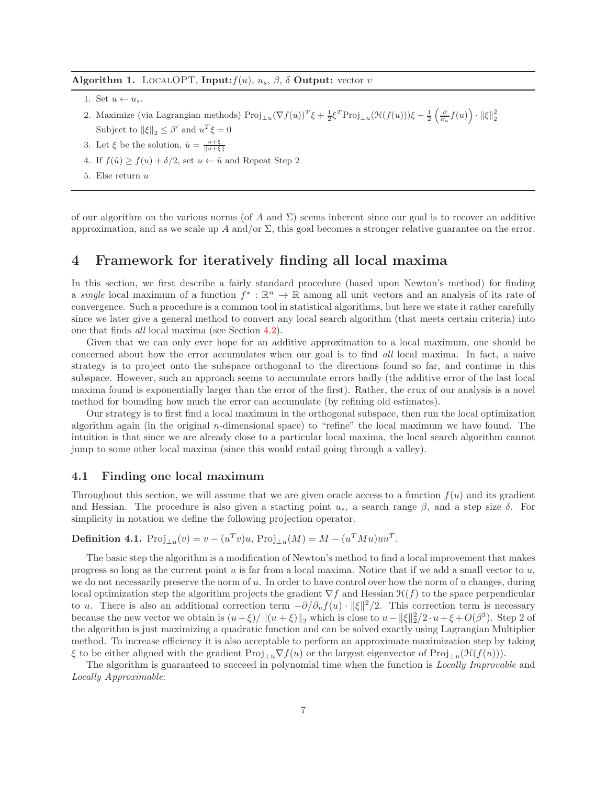#### <span id="page-6-1"></span>Algorithm 1. LOCALOPT, Input:  $f(u)$ ,  $u_s$ ,  $\beta$ ,  $\delta$  Output: vector v

- 1. Set  $u \leftarrow u_s$ .
- 2. Maximize (via Lagrangian methods)  $\text{Proj}_{\perp u}(\nabla f(u))^T \xi + \frac{1}{2} \xi^T \text{Proj}_{\perp u}(\mathcal{H}(f(u))) \xi \frac{1}{2} \left( \frac{\partial}{\partial u} f(u) \right) \cdot ||\xi||_2^2$ Subject to  $\|\xi\|_2 \leq \beta'$  and  $u^T \xi = 0$
- 3. Let  $\xi$  be the solution,  $\tilde{u} = \frac{u+\xi}{\|u+\xi\|}$
- 4. If  $f(\tilde{u}) \ge f(u) + \delta/2$ , set  $u \leftarrow \tilde{u}$  and Repeat Step 2
- 5. Else return u

of our algorithm on the various norms (of A and  $\Sigma$ ) seems inherent since our goal is to recover an additive approximation, and as we scale up A and/or  $\Sigma$ , this goal becomes a stronger relative guarantee on the error.

### <span id="page-6-0"></span>4 Framework for iteratively finding all local maxima

In this section, we first describe a fairly standard procedure (based upon Newton's method) for finding a *single* local maximum of a function  $f^* : \mathbb{R}^n \to \mathbb{R}$  among all unit vectors and an analysis of its rate of convergence. Such a procedure is a common tool in statistical algorithms, but here we state it rather carefully since we later give a general method to convert any local search algorithm (that meets certain criteria) into one that finds *all* local maxima (see Section [4.2\)](#page-7-0).

Given that we can only ever hope for an additive approximation to a local maximum, one should be concerned about how the error accumulates when our goal is to find *all* local maxima. In fact, a naive strategy is to project onto the subspace orthogonal to the directions found so far, and continue in this subspace. However, such an approach seems to accumulate errors badly (the additive error of the last local maxima found is exponentially larger than the error of the first). Rather, the crux of our analysis is a novel method for bounding how much the error can accumulate (by refining old estimates).

Our strategy is to first find a local maximum in the orthogonal subspace, then run the local optimization algorithm again (in the original n-dimensional space) to "refine" the local maximum we have found. The intuition is that since we are already close to a particular local maxima, the local search algorithm cannot jump to some other local maxima (since this would entail going through a valley).

#### 4.1 Finding one local maximum

Throughout this section, we will assume that we are given oracle access to a function  $f(u)$  and its gradient and Hessian. The procedure is also given a starting point  $u_s$ , a search range  $\beta$ , and a step size  $\delta$ . For simplicity in notation we define the following projection operator.

# **Definition 4.1.**  $\text{Proj}_{\perp u}(v) = v - (u^T v)u$ ,  $\text{Proj}_{\perp u}(M) = M - (u^T M u)uu^T$ .

The basic step the algorithm is a modification of Newton's method to find a local improvement that makes progress so long as the current point u is far from a local maxima. Notice that if we add a small vector to  $u$ , we do not necessarily preserve the norm of u. In order to have control over how the norm of u changes, during local optimization step the algorithm projects the gradient  $\nabla f$  and Hessian  $\mathcal{H}(f)$  to the space perpendicular to u. There is also an additional correction term  $-\partial/\partial_u f(u) \cdot ||\xi||^2/2$ . This correction term is necessary because the new vector we obtain is  $(u+\xi)/\|(u+\xi)\|_2$  which is close to  $u-\|\xi\|_2^2/2 \cdot u+\xi+O(\beta^3)$ . Step 2 of the algorithm is just maximizing a quadratic function and can be solved exactly using Lagrangian Multiplier method. To increase efficiency it is also acceptable to perform an approximate maximization step by taking ξ to be either aligned with the gradient  $\text{Proj}_{\perp u} \nabla f(u)$  or the largest eigenvector of  $\text{Proj}_{\perp u}(\mathcal{H}(f(u)))$ .

The algorithm is guaranteed to succeed in polynomial time when the function is *Locally Improvable* and *Locally Approximable*: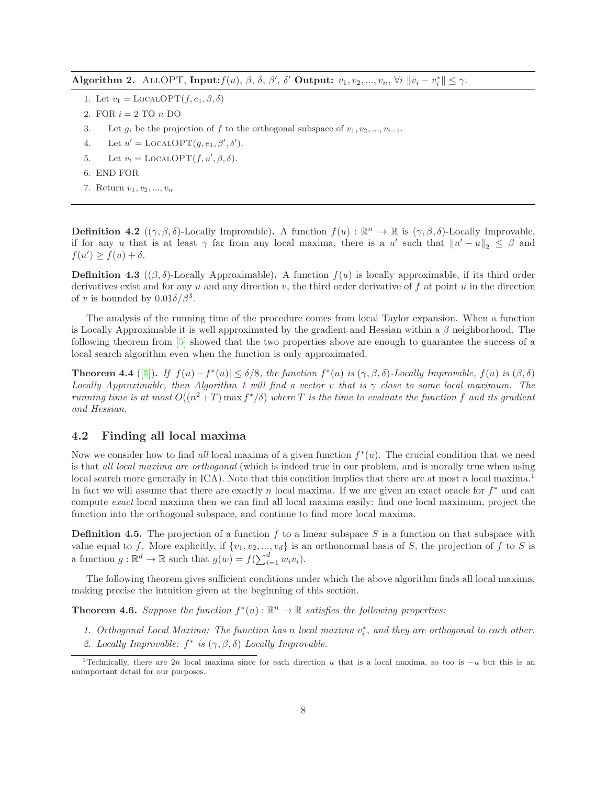<span id="page-7-2"></span>Algorithm 2. ALLOPT, Input:  $f(u)$ ,  $\beta$ ,  $\delta$ ,  $\beta'$ ,  $\delta'$  Output:  $v_1, v_2, ..., v_n$ ,  $\forall i \ \|v_i - v_i^*\| \leq \gamma$ .

- 1. Let  $v_1 = \text{LocalOPT}(f, e_1, \beta, \delta)$
- 2. FOR  $i = 2$  TO  $n$  DO
- 3. Let  $q_i$  be the projection of f to the orthogonal subspace of  $v_1, v_2, ..., v_{i-1}$ .
- 4. Let  $u' = \text{LocalOPT}(g, e_1, \beta', \delta').$
- 5. Let  $v_i = \text{LocalOPT}(f, u', \beta, \delta)$ .
- 6. END FOR
- 7. Return  $v_1, v_2, ..., v_n$

**Definition 4.2**  $((\gamma, \beta, \delta)$ -Locally Improvable). A function  $f(u) : \mathbb{R}^n \to \mathbb{R}$  is  $(\gamma, \beta, \delta)$ -Locally Improvable, if for any u that is at least  $\gamma$  far from any local maxima, there is a u' such that  $||u' - u||_2 \leq \beta$  and  $f(u') \geq f(u) + \delta.$ 

<span id="page-7-4"></span>**Definition 4.3** ( $(\beta, \delta)$ -Locally Approximable). A function  $f(u)$  is locally approximable, if its third order derivatives exist and for any u and any direction  $v$ , the third order derivative of f at point u in the direction of v is bounded by  $0.01\delta/\beta^3$ .

The analysis of the running time of the procedure comes from local Taylor expansion. When a function is Locally Approximable it is well approximated by the gradient and Hessian within a  $\beta$  neighborhood. The following theorem from [\[5\]](#page-12-4) showed that the two properties above are enough to guarantee the success of a local search algorithm even when the function is only approximated.

<span id="page-7-3"></span>**Theorem 4.4** ([\[5\]](#page-12-4)). *If*  $|f(u)-f^*(u)| \le \delta/8$ , the function  $f^*(u)$  is  $(\gamma, \beta, \delta)$ -Locally Improvable,  $f(u)$  is  $(\beta, \delta)$ *Locally Approximable, then Algorithm [1](#page-6-1) will find a vector* v *that is* γ *close to some local maximum. The running time is at most*  $O((n^2+T) \max f^*/\delta)$  *where* T *is the time to evaluate the function* f *and its gradient and Hessian.*

#### <span id="page-7-0"></span>4.2 Finding all local maxima

Now we consider how to find *all* local maxima of a given function  $f^*(u)$ . The crucial condition that we need is that *all local maxima are orthogonal* (which is indeed true in our problem, and is morally true when using local search more generally in  $\text{ICA}$ ). Note that this condition implies that there are at most n local maxima.<sup>1</sup> In fact we will assume that there are exactly n local maxima. If we are given an exact oracle for  $f^*$  and can compute *exact* local maxima then we can find all local maxima easily: find one local maximum, project the function into the orthogonal subspace, and continue to find more local maxima.

**Definition 4.5.** The projection of a function f to a linear subspace S is a function on that subspace with value equal to f. More explicitly, if  $\{v_1, v_2, ..., v_d\}$  is an orthonormal basis of S, the projection of f to S is a function  $g : \mathbb{R}^d \to \mathbb{R}$  such that  $g(w) = f(\sum_{i=1}^d w_i v_i)$ .

The following theorem gives sufficient conditions under which the above algorithm finds all local maxima, making precise the intuition given at the beginning of this section.

<span id="page-7-1"></span>**Theorem 4.6.** Suppose the function  $f^*(u): \mathbb{R}^n \to \mathbb{R}$  satisfies the following properties:

- 1. Orthogonal Local Maxima: The function has n *local maxima*  $v_i^*$ , and they are orthogonal to each other.
- 2. Locally Improvable:  $f^*$  is  $(\gamma, \beta, \delta)$  Locally Improvable.

<sup>&</sup>lt;sup>1</sup>Technically, there are 2n local maxima since for each direction u that is a local maxima, so too is  $-u$  but this is an unimportant detail for our purposes.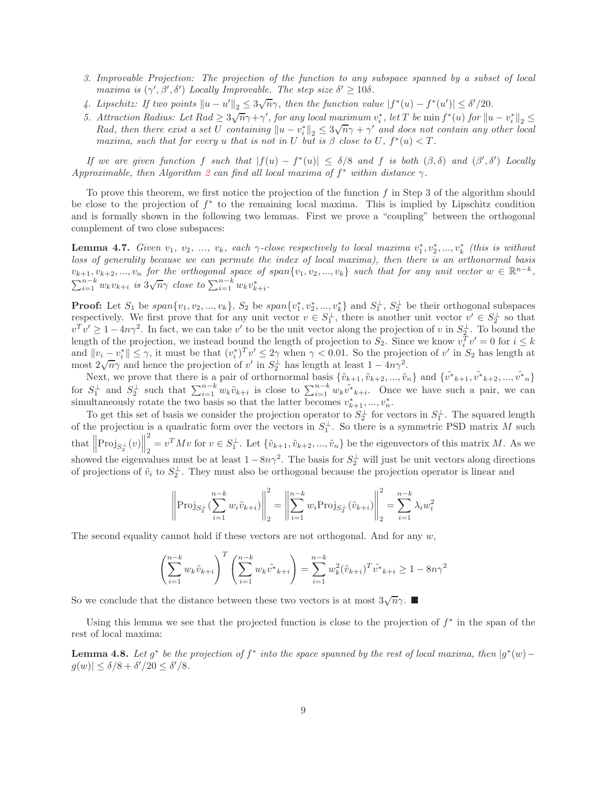- *3. Improvable Projection: The projection of the function to any subspace spanned by a subset of local maxima is*  $(\gamma', \beta', \delta')$  *Locally Improvable. The step size*  $\delta' \geq 10\delta$ *.*
- 4. Lipschitz: If two points  $||u u'||_2 \leq 3\sqrt{n}\gamma$ , then the function value  $|f^*(u) f^*(u')| \leq \delta'/20$ .
- *5.* Attraction Radius: Let  $Rad \geq 3\sqrt{n}\gamma + \gamma'$ , for any local maximum  $v_i^*$ , let T be min  $f^*(u)$  for  $||u v_i^*||_2 \leq$ Rad, then there exist a set U containing  $||u - v_i^*||_2 \leq 3\sqrt{n}\gamma + \gamma'$  and does not contain any other local *maxima, such that for every* u *that is not in* U *but is*  $\beta$  *close to* U,  $f^*(u) < T$ *.*

*If* we are given function f such that  $|f(u) - f^*(u)| \leq \delta/8$  and f is both  $(\beta, \delta)$  and  $(\beta', \delta')$  *Locally Approximable, then Algorithm [2](#page-7-2) can find all local maxima of*  $f^*$  *within distance*  $\gamma$ *.* 

To prove this theorem, we first notice the projection of the function  $f$  in Step 3 of the algorithm should be close to the projection of f ∗ to the remaining local maxima. This is implied by Lipschitz condition and is formally shown in the following two lemmas. First we prove a "coupling" between the orthogonal complement of two close subspaces:

**Lemma 4.7.** *Given*  $v_1, v_2, ..., v_k$ , each  $\gamma$ -close respectively to local maxima  $v_1^*, v_2^*, ..., v_k^*$  (this is without *loss of generality because we can permute the index of local maxima), then there is an orthonormal basis*  $v_{k+1}, v_{k+2}, ..., v_n$  *for the orthogonal space of span* $\{v_1, v_2, ..., v_k\}$  *such that for any unit vector*  $w \in \mathbb{R}^{n-k}$ ,  $\sum_{i=1}^{n-k} w_k v_{k+i}$  *is*  $3\sqrt{n}\gamma$  *close to*  $\sum_{i=1}^{n-k} w_k v_{k+i}^*$ *.* 

**Proof:** Let  $S_1$  be  $span\{v_1, v_2, ..., v_k\}$ ,  $S_2$  be  $span\{v_1^*, v_2^*, ..., v_k^*\}$  and  $S_1^{\perp}$ ,  $S_2^{\perp}$  be their orthogonal subspaces respectively. We first prove that for any unit vector  $v \in S_1^{\perp}$ , there is another unit vector  $v' \in S_2^{\perp}$  so that  $v^T v' \geq 1 - 4n\gamma^2$ . In fact, we can take v' to be the unit vector along the projection of v in  $S_2^{\perp}$ . To bound the length of the projection, we instead bound the length of projection to  $S_2$ . Since we know  $v_i^T v' = 0$  for  $i \leq k$ and  $||v_i - v_i^*|| \leq \gamma$ , it must be that  $(v_i^*)^T v' \leq 2\gamma$  when  $\gamma < 0.01$ . So the projection of v' in  $S_2$  has length at and  $||v_i - v_i|| \le \gamma$ , it must be that  $(v_i)$   $v \le 2\gamma$  when  $\gamma < 0.01$ . So the projection of  $v'$  in  $S_2^{\perp}$  has length at least  $1 - 4n\gamma^2$ .

Next, we prove that there is a pair of orthornormal basis  $\{\tilde{v}_{k+1}, \tilde{v}_{k+2}, ..., \tilde{v}_n\}$  and  $\{\tilde{v}_{k+1}, \tilde{v}_{k+2}, ..., \tilde{v}_{n}\}$ for  $S_1^{\perp}$  and  $S_2^{\perp}$  such that  $\sum_{i=1}^{n-k} w_k \tilde{v}_{k+i}$  is close to  $\sum_{i=1}^{n-k} w_k \tilde{v}_{k+i}$ . Once we have such a pair, we can simultaneously rotate the two basis so that the latter becomes  $v_{k+1}^*,...,v_n^*$ .

To get this set of basis we consider the projection operator to  $S_2^{\perp}$  for vectors in  $S_1^{\perp}$ . The squared length To get this set of basis we consider the projection operator to  $S_2$  for vectors in  $S_1$ . The squared length of the projection is a quadratic form over the vectors in  $S_1^{\perp}$ . So there is a symmetric PSD matrix M suc that  $\left\Vert \text{Proj}_{S_{2}^{\perp}}(v)\right\Vert$ 2  $\tilde{v}_2 = v^T M v$  for  $v \in S_1^{\perp}$ . Let  $\{\tilde{v}_{k+1}, \tilde{v}_{k+2}, ..., \tilde{v}_n\}$  be the eigenvectors of this matrix M. As we showed the eigenvalues must be at least  $1 - 8n\gamma^2$ . The basis for  $S_2^{\perp}$  will just be unit vectors along directions of projections of  $\tilde{v}_i$  to  $S_2^{\perp}$ . They must also be orthogonal because the projection operator is linear and

$$
\left\| \text{Proj}_{S_2^{\perp}}(\sum_{i=1}^{n-k} w_i \tilde{v}_{k+i}) \right\|_2^2 = \left\| \sum_{i=1}^{n-k} w_i \text{Proj}_{S_2^{\perp}}(\tilde{v}_{k+i}) \right\|_2^2 = \sum_{i=1}^{n-k} \lambda_i w_i^2
$$

The second equality cannot hold if these vectors are not orthogonal. And for any  $w$ ,

$$
\left(\sum_{i=1}^{n-k} w_k \tilde{v}_{k+i}\right)^T \left(\sum_{i=1}^{n-k} w_k \tilde{v}_{k+i}^*\right) = \sum_{i=1}^{n-k} w_k^2 (\tilde{v}_{k+i})^T \tilde{v}_{k+i}^* \ge 1 - 8n\gamma^2
$$

So we conclude that the distance between these two vectors is at most  $3\sqrt{n}\gamma$ .

Using this lemma we see that the projected function is close to the projection of  $f^*$  in the span of the rest of local maxima:

<span id="page-8-0"></span>**Lemma 4.8.** Let  $g^*$  be the projection of  $f^*$  into the space spanned by the rest of local maxima, then  $|g^*(w)$  $g(w)| \le \delta/8 + \delta'/20 \le \delta'/8.$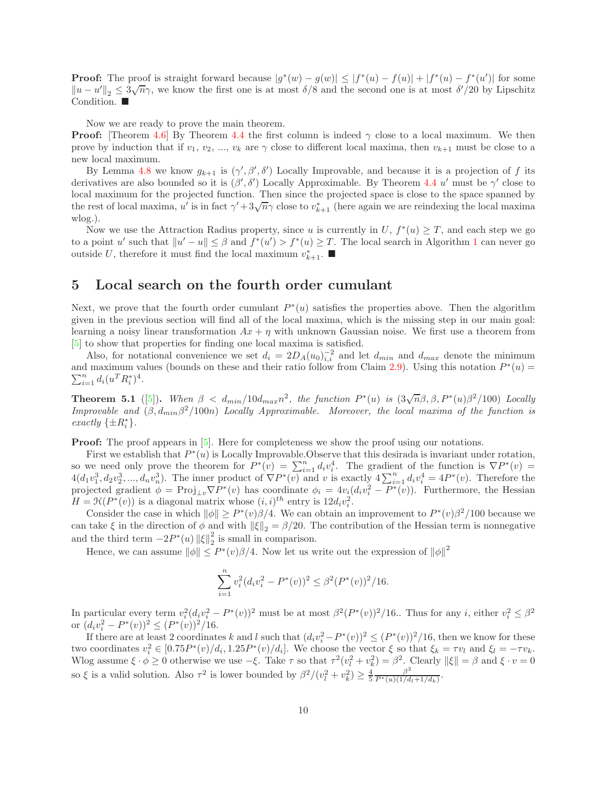**Proof:** The proof is straight forward because  $|g^*(w) - g(w)| \leq |f^*(u) - f(u)| + |f^*(u) - f^*(u')|$  for some  $||u - u'||_2 \leq \frac{3}{\sqrt{n}}\gamma$ , we know the first one is at most  $\delta/8$  and the second one is at most  $\delta'/20$  by Lipschitz Condition.

Now we are ready to prove the main theorem.

**Proof:** [Theorem [4.6\]](#page-7-1) By Theorem [4.4](#page-7-3) the first column is indeed  $\gamma$  close to a local maximum. We then prove by induction that if  $v_1, v_2, ..., v_k$  are  $\gamma$  close to different local maxima, then  $v_{k+1}$  must be close to a new local maximum.

By Lemma [4.8](#page-8-0) we know  $g_{k+1}$  is  $(\gamma', \beta', \delta')$  Locally Improvable, and because it is a projection of f its derivatives are also bounded so it is  $(\beta', \delta')$  Locally Approximable. By Theorem [4.4](#page-7-3) u' must be  $\gamma'$  close to local maximum for the projected function. Then since the projected space is close to the space spanned by the rest of local maxima, u' is in fact  $\gamma' + 3\sqrt{n}\gamma$  close to  $v_{k+1}^*$  (here again we are reindexing the local maxima wlog.).

Now we use the Attraction Radius property, since u is currently in  $U, f^*(u) \geq T$ , and each step we go to a point u' such that  $||u'-u|| \leq \beta$  and  $f^*(u') > f^*(u) \geq T$ . The local search in Algorithm [1](#page-6-1) can never go outside U, therefore it must find the local maximum  $v_{k+1}^*$ .

### <span id="page-9-0"></span>5 Local search on the fourth order cumulant

Next, we prove that the fourth order cumulant  $P^*(u)$  satisfies the properties above. Then the algorithm given in the previous section will find all of the local maxima, which is the missing step in our main goal: learning a noisy linear transformation  $Ax + \eta$  with unknown Gaussian noise. We first use a theorem from [\[5\]](#page-12-4) to show that properties for finding one local maxima is satisfied.

Also, for notational convenience we set  $d_i = 2D_A(u_0)_{i,i}^{-2}$  and let  $d_{min}$  and  $d_{max}$  denote the minimum and maximum values (bounds on these and their ratio follow from Claim [2.9\)](#page-4-0). Using this notation  $P^*(u)$  $\sum_{i=1}^{n} d_i (u^T R_i^*)^4$ .

<span id="page-9-1"></span>**Theorem 5.1** ([\[5\]](#page-12-4)). When  $\beta < d_{min}/10d_{max}n^2$ , the function  $P^*(u)$  is  $(3\sqrt{n}\beta, \beta, P^*(u)\beta^2/100)$  *Locally Improvable and*  $(\beta, d_{min}\beta^2/100n)$  *Locally Approximable. Moreover, the local maxima of the function is exactly*  $\{\pm R_i^*\}.$ 

**Proof:** The proof appears in [\[5\]](#page-12-4). Here for completeness we show the proof using our notations.

First we establish that  $P^*(u)$  is Locally Improvable. Observe that this desirada is invariant under rotation, so we need only prove the theorem for  $P^*(v) = \sum_{i=1}^n d_i v_i^4$ . The gradient of the function is  $\nabla P^*(v) =$  $4(d_1v_1^3, d_2v_2^3, ..., d_nv_n^3)$ . The inner product of  $\nabla P^*(v)$  and v is exactly  $4\sum_{i=1}^n d_i v_i^4 = 4P^*(v)$ . Therefore the projected gradient  $\phi = \text{Proj}_{\perp v} \nabla P^*(v)$  has coordinate  $\phi_i = 4v_i(d_i v_i^2 - P^*(v))$ . Furthermore, the Hessian  $H = \mathcal{H}(P^*(v))$  is a diagonal matrix whose  $(i, i)^{th}$  entry is  $12d_i v_i^2$ .

Consider the case in which  $\|\phi\| \ge P^*(v)\beta/4$ . We can obtain an improvement to  $P^*(v)\beta^2/100$  because we can take  $\xi$  in the direction of  $\phi$  and with  $\|\xi\|_2 = \beta/20$ . The contribution of the Hessian term is nonnegative and the third term  $-2P^*(u)$   $\|\xi\|_2^2$  $\frac{2}{2}$  is small in comparison.

Hence, we can assume  $\|\phi\| \le P^*(v)\beta/4$ . Now let us write out the expression of  $\|\phi\|^2$ 

$$
\sum_{i=1}^{n} v_i^2 (d_i v_i^2 - P^*(v))^2 \le \beta^2 (P^*(v))^2 / 16.
$$

In particular every term  $v_i^2(d_i v_i^2 - P^*(v))^2$  must be at most  $\beta^2 (P^*(v))^2/16$ . Thus for any i, either  $v_i^2 \leq \beta^2$ or  $(d_i v_i^2 - P^*(v))^2 \le (P^*(v))^2 / 16$ .

If there are at least 2 coordinates k and l such that  $(d_i v_i^2 - P^*(v))^2 \leq (P^*(v))^2/16$ , then we know for these two coordinates  $v_i^2 \in [0.75P^*(v)/d_i, 1.25P^*(v)/d_i]$ . We choose the vector  $\xi$  so that  $\xi_k = \tau v_l$  and  $\xi_l = -\tau v_k$ . Wlog assume  $\xi \cdot \phi \ge 0$  otherwise we use  $-\xi$ . Take  $\tau$  so that  $\tau^2(v_l^2 + v_k^2) = \beta^2$ . Clearly  $\|\xi\| = \beta$  and  $\xi \cdot v = 0$ so  $\xi$  is a valid solution. Also  $\tau^2$  is lower bounded by  $\beta^2/(v_l^2 + v_k^2) \ge \frac{4}{5} \frac{\beta^2}{P^*(u)(1/d)}$  $\frac{\beta^2}{P^*(u)(1/d_l+1/d_k)}$ .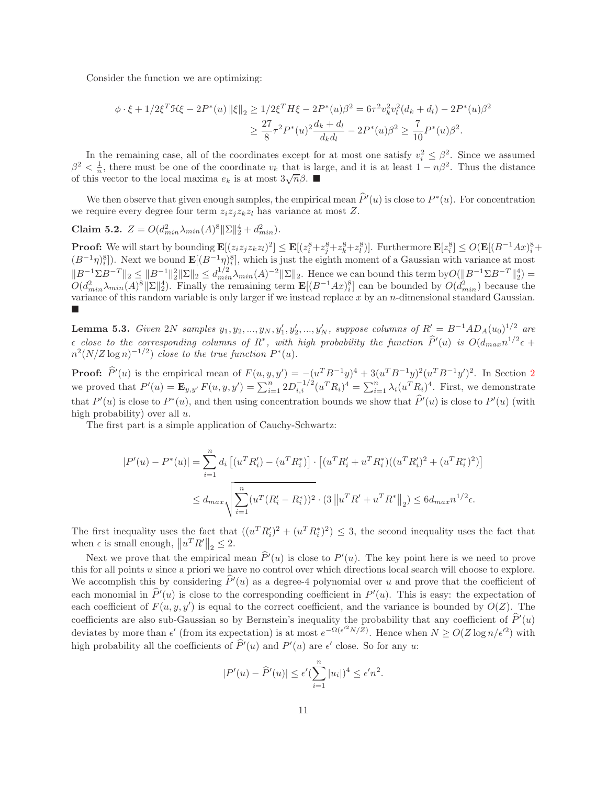Consider the function we are optimizing:

$$
\begin{split} \phi \cdot \xi + 1/2 \xi^T \mathcal{H} \xi - 2P^*(u) \left\| \xi \right\|_2 &\ge 1/2 \xi^T H \xi - 2P^*(u) \beta^2 = 6\tau^2 v_k^2 v_l^2 (d_k + d_l) - 2P^*(u) \beta^2 \\ &\ge \frac{27}{8} \tau^2 P^*(u)^2 \frac{d_k + d_l}{d_k d_l} - 2P^*(u) \beta^2 \ge \frac{7}{10} P^*(u) \beta^2. \end{split}
$$

In the remaining case, all of the coordinates except for at most one satisfy  $v_i^2 \leq \beta^2$ . Since we assumed  $\beta^2 < \frac{1}{n}$ , there must be one of the coordinate  $v_k$  that is large, and it is at least  $1 - n\beta^2$ . Thus the distance of this vector to the local maxima  $e_k$  is at most  $3\sqrt{n}\beta$ .

We then observe that given enough samples, the empirical mean  $P'(u)$  is close to  $P^*(u)$ . For concentration we require every degree four term  $z_iz_iz_kz_l$  has variance at most Z.

Claim 5.2.  $Z = O(d_{min}^2 \lambda_{min}(A)^8 ||\Sigma||_2^4 + d_{min}^2)$ .

**Proof:** We will start by bounding  $\mathbf{E}[(z_iz_jz_kz_l)^2] \leq \mathbf{E}[(z_i^8+z_j^8+z_k^8+z_l^8)].$  Furthermore  $\mathbf{E}[z_i^8] \leq O(\mathbf{E}[(B^{-1}Ax)_i^8 + B^{-1}z_l^8])$  $(B^{-1}\eta)^8_i$ . Next we bound  $\mathbf{E}[(B^{-1}\eta)^8_i]$ , which is just the eighth moment of a Gaussian with variance at most  $||B^{-1}\Sigma B^{-T}||_2 \leq ||B^{-1}||_2^2 ||\Sigma||_2 \leq d_{min}^{1/2} \lambda_{min}(A)^{-2} ||\Sigma||_2$ . Hence we can bound this term by  $O(||B^{-1}\Sigma B^{-T}||_2^4)$  $O(d_{min}^2 \lambda_{min}(A)^8 \|\Sigma\|_2^4)$ . Finally the remaining term  $\mathbf{E}[(B^{-1}Ax)^8]$  can be bounded by  $O(d_{min}^2)$  because the variance of this random variable is only larger if we instead replace  $x$  by an  $n$ -dimensional standard Gaussian.  $\blacksquare$ 

<span id="page-10-0"></span>**Lemma 5.3.** *Given* 2*N samples*  $y_1, y_2, ..., y_N, y'_1, y'_2, ..., y'_N$ , *suppose columns of*  $R' = B^{-1}AD_A(u_0)^{1/2}$  *are*  $\epsilon$  *close to the corresponding columns of*  $R^*$ , with high probability the function  $\hat{P}'(u)$  is  $O(d_{max}n^{1/2}\epsilon +$  $n^2(N/Z \log n)^{-1/2})$  *close to the true function*  $P^*(u)$ *.* 

**Proof:**  $\hat{P}'(u)$  is the empirical mean of  $F(u, y, y') = -(u^T B^{-1}y)^4 + 3(u^T B^{-1}y)^2(u^T B^{-1}y')^2$  $F(u, y, y') = -(u^T B^{-1}y)^4 + 3(u^T B^{-1}y)^2(u^T B^{-1}y')^2$  $F(u, y, y') = -(u^T B^{-1}y)^4 + 3(u^T B^{-1}y)^2(u^T B^{-1}y')^2$ . In Section 2 we proved that  $P'(u) = \mathbf{E}_{y,y'} F(u, y, y') = \sum_{i=1}^{n} 2D_{i,i}^{-1/2} (u^T R_i)^4 = \sum_{i=1}^{n} \lambda_i (u^T R_i)^4$ . First, we demonstrate that  $P'(u)$  is close to  $P^*(u)$ , and then using concentration bounds we show that  $P'(u)$  is close to  $P'(u)$  (with high probability) over all  $u$ .

The first part is a simple application of Cauchy-Schwartz:

$$
|P'(u) - P^*(u)| = \sum_{i=1}^n d_i \left[ (u^T R'_i) - (u^T R_i^*) \right] \cdot \left[ (u^T R'_i + u^T R_i^*) ((u^T R'_i)^2 + (u^T R_i^*)^2) \right]
$$
  

$$
\leq d_{max} \sqrt{\sum_{i=1}^n (u^T (R'_i - R_i^*))^2} \cdot (3 \|u^T R' + u^T R^* \|_2) \leq 6 d_{max} n^{1/2} \epsilon.
$$

The first inequality uses the fact that  $((u^T R'_i)^2 + (u^T R_i^*)^2) \leq 3$ , the second inequality uses the fact that when  $\epsilon$  is small enough,  $||u^T R'||_2 \leq 2$ .

Next we prove that the empirical mean  $P'(u)$  is close to  $P'(u)$ . The key point here is we need to prove this for all points u since a priori we have no control over which directions local search will choose to explore. We accomplish this by considering  $P'(u)$  as a degree-4 polynomial over u and prove that the coefficient of each monomial in  $P'(u)$  is close to the corresponding coefficient in  $P'(u)$ . This is easy: the expectation of each coefficient of  $F(u, y, y')$  is equal to the correct coefficient, and the variance is bounded by  $O(Z)$ . The coefficients are also sub-Gaussian so by Bernstein's inequality the probability that any coefficient of  $P'(u)$ deviates by more than  $\epsilon'$  (from its expectation) is at most  $e^{-\Omega(\epsilon'^2 N/\tilde{Z})}$ . Hence when  $N \geq O(Z \log n/\epsilon'^2)$  with high probability all the coefficients of  $P'(u)$  and  $P'(u)$  are  $\epsilon'$  close. So for any u:

$$
|P'(u)-\widehat{P}'(u)| \leq \epsilon'(\sum_{i=1}^n |u_i|)^4 \leq \epsilon' n^2.
$$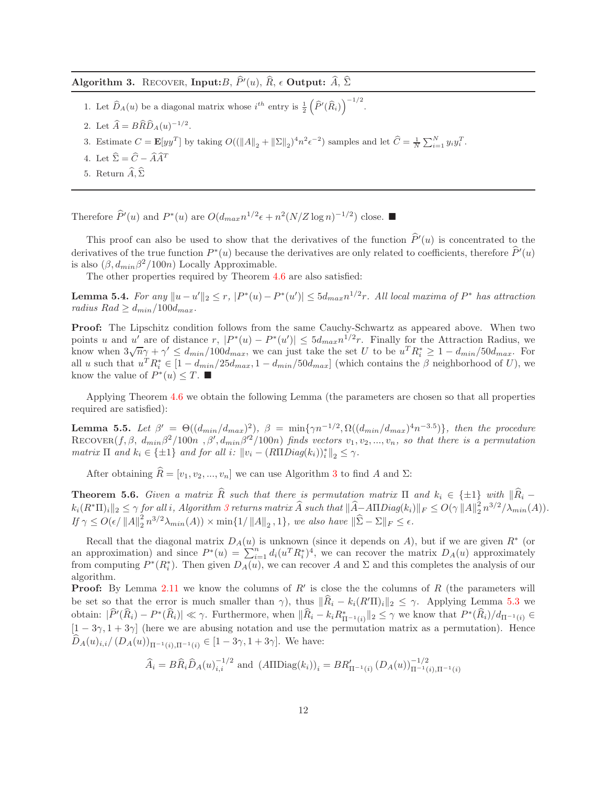<span id="page-11-2"></span>Algorithm 3. RECOVER, Input: B,  $P'(u)$ , R,  $\epsilon$  Output: A,  $\Sigma$ 

- 1. Let  $\widehat{D}_A(u)$  be a diagonal matrix whose  $i^{th}$  entry is  $\frac{1}{2}(\widehat{P}'(\widehat{R}_i))^{-1/2}$ .
- 2. Let  $\widehat{A} = B\widehat{R}\widehat{D}_A(u)^{-1/2}$ .
- 3. Estimate  $C = \mathbf{E}[yy^T]$  by taking  $O((||A||_2 + ||\Sigma||_2)^4 n^2 \epsilon^{-2})$  samples and let  $\widehat{C} = \frac{1}{N} \sum_{i=1}^N y_i y_i^T$ .
- 4. Let  $\hat{\Sigma} = \hat{C} \hat{A}\hat{A}^T$
- 5. Return  $\widehat{A}$ ,  $\widehat{\Sigma}$

Therefore  $\widehat{P}'(u)$  and  $P^*(u)$  are  $O(d_{max}n^{1/2}\epsilon + n^2(N/Z \log n)^{-1/2})$  close.

This proof can also be used to show that the derivatives of the function  $P'(u)$  is concentrated to the derivatives of the true function  $P^*(u)$  because the derivatives are only related to coefficients, therefore  $P'(u)$ is also  $(\beta, d_{min} \beta^2/100n)$  Locally Approximable.

The other properties required by Theorem [4.6](#page-7-1) are also satisfied:

**Lemma 5.4.** For any  $||u - u'||_2 \le r$ ,  $|P^*(u) - P^*(u')| \le 5d_{max}n^{1/2}r$ . All local maxima of  $P^*$  has attraction *radius*  $Rad \geq d_{min}/100d_{max}$ .

Proof: The Lipschitz condition follows from the same Cauchy-Schwartz as appeared above. When two points u and u' are of distance r,  $|P^*(u) - P^*(u')| \leq 5d_{max}n^{1/2}r$ . Finally for the Attraction Radius, we know when  $3\sqrt{n}\gamma + \gamma' \leq d_{min}/100d_{max}$ , we can just take the set U to be  $u^TR_i^* \geq 1 - d_{min}/50d_{max}$ . For all u such that  $u^T R_i^* \in [1 - d_{min}/25d_{max}, 1 - d_{min}/50d_{max}]$  (which contains the  $\beta$  neighborhood of U), we know the value of  $P^*(u) \leq T$ .

Applying Theorem [4.6](#page-7-1) we obtain the following Lemma (the parameters are chosen so that all properties required are satisfied):

<span id="page-11-0"></span>**Lemma 5.5.** Let  $\beta' = \Theta((d_{min}/d_{max})^2)$ ,  $\beta = \min\{\gamma n^{-1/2}, \Omega((d_{min}/d_{max})^4 n^{-3.5})\}$ , then the procedure  $\text{RECOVER}(f, \beta, d_{min}\beta^2/100n, \beta', d_{min}\beta'^2/100n)$  finds vectors  $v_1, v_2, ..., v_n$ , so that there is a permutation *matrix*  $\Pi$  *and*  $k_i \in \{\pm 1\}$  *and for all*  $i$ *:*  $||v_i - (R\Pi Diag(k_i))_i^*||_2 \leq \gamma$ *.* 

After obtaining  $\widehat{R} = [v_1, v_2, ..., v_n]$  we can use Algorithm [3](#page-11-2) to find A and  $\Sigma$ :

<span id="page-11-1"></span>**Theorem 5.6.** *Given a matrix*  $\widehat{R}$  *such that there is permutation matrix*  $\Pi$  *and*  $k_i \in \{\pm 1\}$  *with*  $\|\widehat{R}_i k_i(R^*\Pi)_i\|_2 \leq \gamma~{\text for~all}~i,~Algorithm~3~returns~matrix~\widehat{A}~such~that~\|\widehat{A}-A\Pi Diag(k_i)\|_F \leq O(\gamma~\|A\|_2^2)$  $k_i(R^*\Pi)_i\|_2 \leq \gamma~{\text for~all}~i,~Algorithm~3~returns~matrix~\widehat{A}~such~that~\|\widehat{A}-A\Pi Diag(k_i)\|_F \leq O(\gamma~\|A\|_2^2)$  $k_i(R^*\Pi)_i\|_2 \leq \gamma~{\text for~all}~i,~Algorithm~3~returns~matrix~\widehat{A}~such~that~\|\widehat{A}-A\Pi Diag(k_i)\|_F \leq O(\gamma~\|A\|_2^2)$  $\frac{2}{2}n^{3/2}/\lambda_{min}(A)).$ *If*  $\gamma \leq O(\epsilon / \|A\|_2^2)$  $\frac{2}{2}n^{3/2}\lambda_{min}(A)) \times \min\{1/\left\|A\right\|_2, 1\}, we also have  $\|\widehat{\Sigma} - \Sigma\|_F \leq \epsilon$ .$ 

Recall that the diagonal matrix  $D_A(u)$  is unknown (since it depends on A), but if we are given  $R^*$  (or an approximation) and since  $P^*(u) = \sum_{i=1}^n d_i(u^T R_i^*)^4$ , we can recover the matrix  $D_A(u)$  approximately from computing  $P^*(R_i^*)$ . Then given  $D_A(u)$ , we can recover A and  $\Sigma$  and this completes the analysis of our algorithm.

**Proof:** By Lemma [2.11](#page-4-1) we know the columns of  $R'$  is close the the columns of  $R$  (the parameters will be set so that the error is much smaller than  $\gamma$ ), thus  $\|\widehat{R}_i - k_i(R'\Pi)_i\|_2 \leq \gamma$ . Applying Lemma [5.3](#page-10-0) we obtain:  $|P'(R_i) - P^*(R_i)| \ll \gamma$ . Furthermore, when  $||R_i - k_i R_{\Pi^{-1}(i)}^*||_2 \leq \gamma$  we know that  $P^*(R_i)/d_{\Pi^{-1}(i)} \in$  $[1 - 3\gamma, 1 + 3\gamma]$  (here we are abusing notation and use the permutation matrix as a permutation). Hence  $D_A(u)_{i,i}/(D_A(u))_{\Pi^{-1}(i),\Pi^{-1}(i)} \in [1-3\gamma,1+3\gamma].$  We have:

$$
\widehat{A}_i = BR_i \widehat{D}_A(u)_{i,i}^{-1/2} \text{ and } (A\Pi \text{Diag}(k_i))_i = BR'_{\Pi^{-1}(i)} (D_A(u))_{\Pi^{-1}(i), \Pi^{-1}(i)}^{-1/2}
$$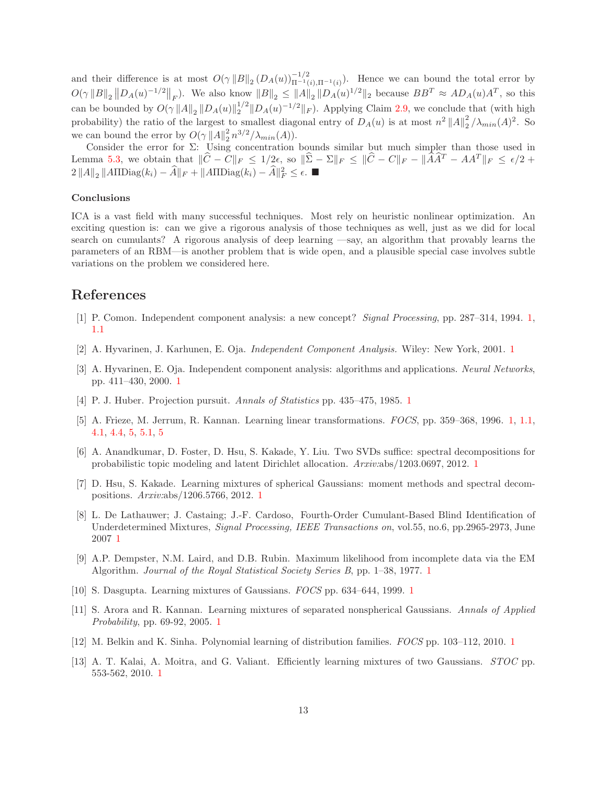and their difference is at most  $O(\gamma ||B||_2 (D_A(u))_{\Pi^{-1}(i),\Pi^{-1}(i)}^{-1/2})$ . Hence we can bound the total error by  $O(\gamma ||B||_2 ||D_A(u)^{-1/2}||_F)$ . We also know  $||B||_2 \le ||A||_2 ||D_A(u)^{1/2}||_2$  because  $BB^T \approx AD_A(u)A^T$ , so this can be bounded by  $O(\gamma ||A||_2 ||D_A(u)||_2^{1/2} ||D_A(u)^{-1/2}||_F)$ . Applying Claim [2.9,](#page-4-0) we conclude that (with high probability) the ratio of the largest to smallest diagonal entry of  $D_A(u)$  is at most  $n^2 ||A||_2^2$  $\frac{2}{2}/\lambda_{min}(A)^{2}$ . So we can bound the error by  $O(\gamma ||A||_2^2 n^{3/2}/\lambda_{min}(A)).$ 

Consider the error for  $\Sigma$ : Using concentration bounds similar but much simpler than those used in Lemma [5.3,](#page-10-0) we obtain that  $\|\widehat{C}-\widetilde{C}\|_F \leq 1/2\epsilon$ , so  $\|\widehat{\Sigma}-\Sigma\|_F \leq \|\widehat{C}-C\|_F - \|\widehat{A}\widehat{A}^T - AA^T\|_F \leq \epsilon/2 + \epsilon$  $2||A||_2 ||A\Pi \text{Diag}(k_i) - \widehat{A}||_F + ||A\Pi \text{Diag}(k_i) - \widehat{A}||_F^2 \leq \epsilon.$  ■

#### Conclusions

ICA is a vast field with many successful techniques. Most rely on heuristic nonlinear optimization. An exciting question is: can we give a rigorous analysis of those techniques as well, just as we did for local search on cumulants? A rigorous analysis of deep learning —say, an algorithm that provably learns the parameters of an RBM—is another problem that is wide open, and a plausible special case involves subtle variations on the problem we considered here.

### <span id="page-12-0"></span>References

- <span id="page-12-1"></span>[1] P. Comon. Independent component analysis: a new concept? *Signal Processing*, pp. 287–314, 1994. [1,](#page-0-0) [1.1](#page-1-0)
- <span id="page-12-2"></span>[2] A. Hyvarinen, J. Karhunen, E. Oja. *Independent Component Analysis.* Wiley: New York, 2001. [1](#page-0-0)
- [3] A. Hyvarinen, E. Oja. Independent component analysis: algorithms and applications. *Neural Networks*, pp. 411–430, 2000. [1](#page-0-0)
- <span id="page-12-4"></span><span id="page-12-3"></span>[4] P. J. Huber. Projection pursuit. *Annals of Statistics* pp. 435–475, 1985. [1](#page-0-0)
- [5] A. Frieze, M. Jerrum, R. Kannan. Learning linear transformations. *FOCS*, pp. 359–368, 1996. [1,](#page-0-0) [1.1,](#page-1-0) [4.1,](#page-7-4) [4.4,](#page-7-3) [5,](#page-9-0) [5.1,](#page-9-1) [5](#page-9-1)
- <span id="page-12-5"></span>[6] A. Anandkumar, D. Foster, D. Hsu, S. Kakade, Y. Liu. Two SVDs suffice: spectral decompositions for probabilistic topic modeling and latent Dirichlet allocation. *Arxiv:*abs/1203.0697, 2012. [1](#page-0-0)
- <span id="page-12-6"></span>[7] D. Hsu, S. Kakade. Learning mixtures of spherical Gaussians: moment methods and spectral decompositions. *Arxiv:*abs/1206.5766, 2012. [1](#page-0-0)
- <span id="page-12-7"></span>[8] L. De Lathauwer; J. Castaing; J.-F. Cardoso, Fourth-Order Cumulant-Based Blind Identification of Underdetermined Mixtures, *Signal Processing, IEEE Transactions on*, vol.55, no.6, pp.2965-2973, June 2007 [1](#page-0-0)
- <span id="page-12-8"></span>[9] A.P. Dempster, N.M. Laird, and D.B. Rubin. Maximum likelihood from incomplete data via the EM Algorithm. *Journal of the Royal Statistical Society Series B*, pp. 1–38, 1977. [1](#page-0-0)
- <span id="page-12-10"></span><span id="page-12-9"></span>[10] S. Dasgupta. Learning mixtures of Gaussians. *FOCS* pp. 634–644, 1999. [1](#page-0-0)
- [11] S. Arora and R. Kannan. Learning mixtures of separated nonspherical Gaussians. *Annals of Applied Probability*, pp. 69-92, 2005. [1](#page-0-0)
- <span id="page-12-12"></span><span id="page-12-11"></span>[12] M. Belkin and K. Sinha. Polynomial learning of distribution families. *FOCS* pp. 103–112, 2010. [1](#page-0-0)
- [13] A. T. Kalai, A. Moitra, and G. Valiant. Efficiently learning mixtures of two Gaussians. *STOC* pp. 553-562, 2010. [1](#page-0-0)